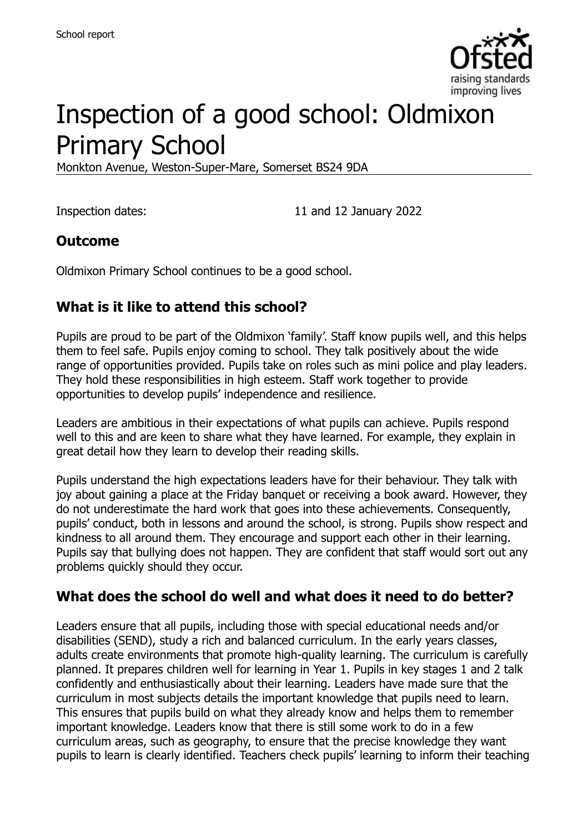

# Inspection of a good school: Oldmixon Primary School

Monkton Avenue, Weston-Super-Mare, Somerset BS24 9DA

Inspection dates: 11 and 12 January 2022

#### **Outcome**

Oldmixon Primary School continues to be a good school.

# **What is it like to attend this school?**

Pupils are proud to be part of the Oldmixon 'family'. Staff know pupils well, and this helps them to feel safe. Pupils enjoy coming to school. They talk positively about the wide range of opportunities provided. Pupils take on roles such as mini police and play leaders. They hold these responsibilities in high esteem. Staff work together to provide opportunities to develop pupils' independence and resilience.

Leaders are ambitious in their expectations of what pupils can achieve. Pupils respond well to this and are keen to share what they have learned. For example, they explain in great detail how they learn to develop their reading skills.

Pupils understand the high expectations leaders have for their behaviour. They talk with joy about gaining a place at the Friday banquet or receiving a book award. However, they do not underestimate the hard work that goes into these achievements. Consequently, pupils' conduct, both in lessons and around the school, is strong. Pupils show respect and kindness to all around them. They encourage and support each other in their learning. Pupils say that bullying does not happen. They are confident that staff would sort out any problems quickly should they occur.

#### **What does the school do well and what does it need to do better?**

Leaders ensure that all pupils, including those with special educational needs and/or disabilities (SEND), study a rich and balanced curriculum. In the early years classes, adults create environments that promote high-quality learning. The curriculum is carefully planned. It prepares children well for learning in Year 1. Pupils in key stages 1 and 2 talk confidently and enthusiastically about their learning. Leaders have made sure that the curriculum in most subjects details the important knowledge that pupils need to learn. This ensures that pupils build on what they already know and helps them to remember important knowledge. Leaders know that there is still some work to do in a few curriculum areas, such as geography, to ensure that the precise knowledge they want pupils to learn is clearly identified. Teachers check pupils' learning to inform their teaching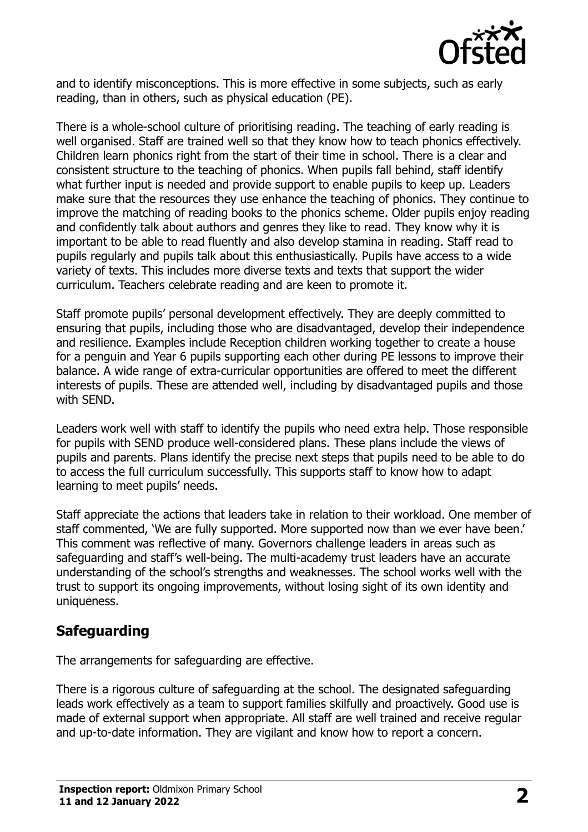

and to identify misconceptions. This is more effective in some subjects, such as early reading, than in others, such as physical education (PE).

There is a whole-school culture of prioritising reading. The teaching of early reading is well organised. Staff are trained well so that they know how to teach phonics effectively. Children learn phonics right from the start of their time in school. There is a clear and consistent structure to the teaching of phonics. When pupils fall behind, staff identify what further input is needed and provide support to enable pupils to keep up. Leaders make sure that the resources they use enhance the teaching of phonics. They continue to improve the matching of reading books to the phonics scheme. Older pupils enjoy reading and confidently talk about authors and genres they like to read. They know why it is important to be able to read fluently and also develop stamina in reading. Staff read to pupils regularly and pupils talk about this enthusiastically. Pupils have access to a wide variety of texts. This includes more diverse texts and texts that support the wider curriculum. Teachers celebrate reading and are keen to promote it.

Staff promote pupils' personal development effectively. They are deeply committed to ensuring that pupils, including those who are disadvantaged, develop their independence and resilience. Examples include Reception children working together to create a house for a penguin and Year 6 pupils supporting each other during PE lessons to improve their balance. A wide range of extra-curricular opportunities are offered to meet the different interests of pupils. These are attended well, including by disadvantaged pupils and those with SEND.

Leaders work well with staff to identify the pupils who need extra help. Those responsible for pupils with SEND produce well-considered plans. These plans include the views of pupils and parents. Plans identify the precise next steps that pupils need to be able to do to access the full curriculum successfully. This supports staff to know how to adapt learning to meet pupils' needs.

Staff appreciate the actions that leaders take in relation to their workload. One member of staff commented, 'We are fully supported. More supported now than we ever have been.' This comment was reflective of many. Governors challenge leaders in areas such as safeguarding and staff's well-being. The multi-academy trust leaders have an accurate understanding of the school's strengths and weaknesses. The school works well with the trust to support its ongoing improvements, without losing sight of its own identity and uniqueness.

#### **Safeguarding**

The arrangements for safeguarding are effective.

There is a rigorous culture of safeguarding at the school. The designated safeguarding leads work effectively as a team to support families skilfully and proactively. Good use is made of external support when appropriate. All staff are well trained and receive regular and up-to-date information. They are vigilant and know how to report a concern.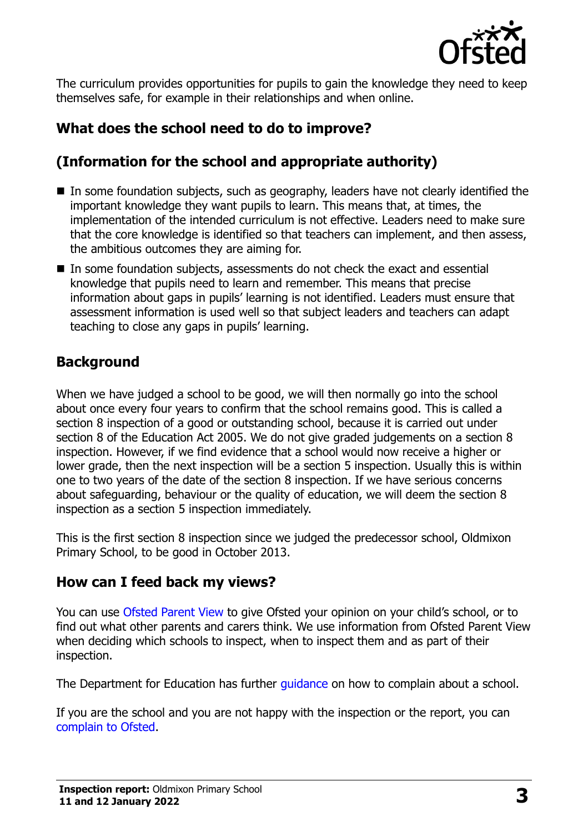

The curriculum provides opportunities for pupils to gain the knowledge they need to keep themselves safe, for example in their relationships and when online.

# **What does the school need to do to improve?**

# **(Information for the school and appropriate authority)**

- In some foundation subjects, such as geography, leaders have not clearly identified the important knowledge they want pupils to learn. This means that, at times, the implementation of the intended curriculum is not effective. Leaders need to make sure that the core knowledge is identified so that teachers can implement, and then assess, the ambitious outcomes they are aiming for.
- In some foundation subjects, assessments do not check the exact and essential knowledge that pupils need to learn and remember. This means that precise information about gaps in pupils' learning is not identified. Leaders must ensure that assessment information is used well so that subject leaders and teachers can adapt teaching to close any gaps in pupils' learning.

# **Background**

When we have judged a school to be good, we will then normally go into the school about once every four years to confirm that the school remains good. This is called a section 8 inspection of a good or outstanding school, because it is carried out under section 8 of the Education Act 2005. We do not give graded judgements on a section 8 inspection. However, if we find evidence that a school would now receive a higher or lower grade, then the next inspection will be a section 5 inspection. Usually this is within one to two years of the date of the section 8 inspection. If we have serious concerns about safeguarding, behaviour or the quality of education, we will deem the section 8 inspection as a section 5 inspection immediately.

This is the first section 8 inspection since we judged the predecessor school, Oldmixon Primary School, to be good in October 2013.

#### **How can I feed back my views?**

You can use [Ofsted Parent View](https://parentview.ofsted.gov.uk/) to give Ofsted your opinion on your child's school, or to find out what other parents and carers think. We use information from Ofsted Parent View when deciding which schools to inspect, when to inspect them and as part of their inspection.

The Department for Education has further quidance on how to complain about a school.

If you are the school and you are not happy with the inspection or the report, you can [complain to Ofsted.](https://www.gov.uk/complain-ofsted-report)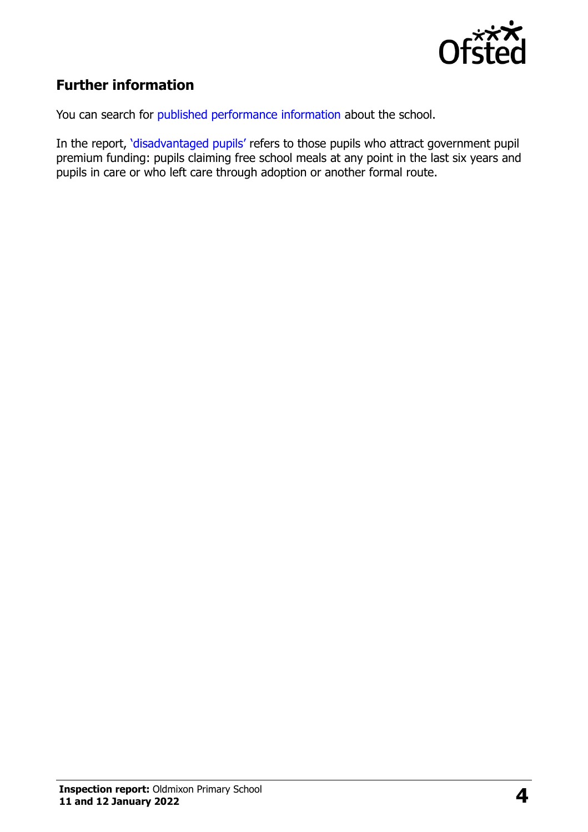

# **Further information**

You can search for [published performance information](http://www.compare-school-performance.service.gov.uk/) about the school.

In the report, '[disadvantaged pupils](http://www.gov.uk/guidance/pupil-premium-information-for-schools-and-alternative-provision-settings)' refers to those pupils who attract government pupil premium funding: pupils claiming free school meals at any point in the last six years and pupils in care or who left care through adoption or another formal route.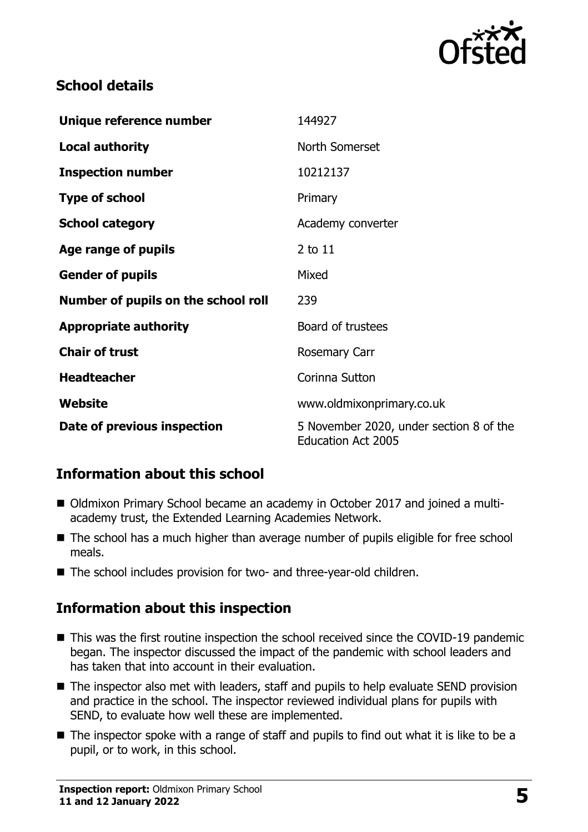

#### **School details**

| Unique reference number             | 144927                                                               |
|-------------------------------------|----------------------------------------------------------------------|
| <b>Local authority</b>              | North Somerset                                                       |
| <b>Inspection number</b>            | 10212137                                                             |
| <b>Type of school</b>               | Primary                                                              |
| <b>School category</b>              | Academy converter                                                    |
| Age range of pupils                 | 2 to 11                                                              |
| <b>Gender of pupils</b>             | Mixed                                                                |
| Number of pupils on the school roll | 239                                                                  |
| <b>Appropriate authority</b>        | Board of trustees                                                    |
| <b>Chair of trust</b>               | <b>Rosemary Carr</b>                                                 |
| <b>Headteacher</b>                  | Corinna Sutton                                                       |
| Website                             | www.oldmixonprimary.co.uk                                            |
| Date of previous inspection         | 5 November 2020, under section 8 of the<br><b>Education Act 2005</b> |

# **Information about this school**

- Oldmixon Primary School became an academy in October 2017 and joined a multiacademy trust, the Extended Learning Academies Network.
- The school has a much higher than average number of pupils eligible for free school meals.
- The school includes provision for two- and three-year-old children.

#### **Information about this inspection**

- This was the first routine inspection the school received since the COVID-19 pandemic began. The inspector discussed the impact of the pandemic with school leaders and has taken that into account in their evaluation.
- The inspector also met with leaders, staff and pupils to help evaluate SEND provision and practice in the school. The inspector reviewed individual plans for pupils with SEND, to evaluate how well these are implemented.
- The inspector spoke with a range of staff and pupils to find out what it is like to be a pupil, or to work, in this school.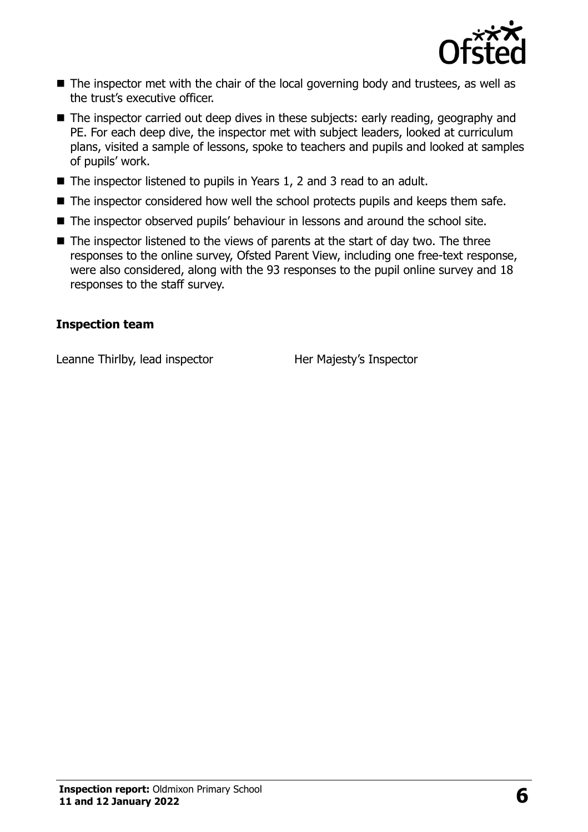

- The inspector met with the chair of the local governing body and trustees, as well as the trust's executive officer.
- The inspector carried out deep dives in these subjects: early reading, geography and PE. For each deep dive, the inspector met with subject leaders, looked at curriculum plans, visited a sample of lessons, spoke to teachers and pupils and looked at samples of pupils' work.
- The inspector listened to pupils in Years 1, 2 and 3 read to an adult.
- The inspector considered how well the school protects pupils and keeps them safe.
- The inspector observed pupils' behaviour in lessons and around the school site.
- $\blacksquare$  The inspector listened to the views of parents at the start of day two. The three responses to the online survey, Ofsted Parent View, including one free-text response, were also considered, along with the 93 responses to the pupil online survey and 18 responses to the staff survey.

#### **Inspection team**

Leanne Thirlby, lead inspector Her Majesty's Inspector